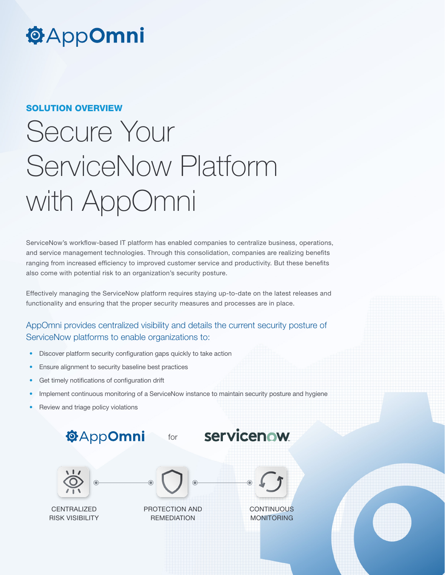## **@AppOmni**

#### SOLUTION OVERVIEW

# Secure Your ServiceNow Platform with AppOmni

ServiceNow's workflow-based IT platform has enabled companies to centralize business, operations, and service management technologies. Through this consolidation, companies are realizing benefits ranging from increased efficiency to improved customer service and productivity. But these benefits also come with potential risk to an organization's security posture.

Effectively managing the ServiceNow platform requires staying up-to-date on the latest releases and functionality and ensuring that the proper security measures and processes are in place.

### AppOmni provides centralized visibility and details the current security posture of ServiceNow platforms to enable organizations to:

- Discover platform security configuration gaps quickly to take action
- Ensure alignment to security baseline best practices
- Get timely notifications of configuration drift
- Implement continuous monitoring of a ServiceNow instance to maintain security posture and hygiene
- Review and triage policy violations